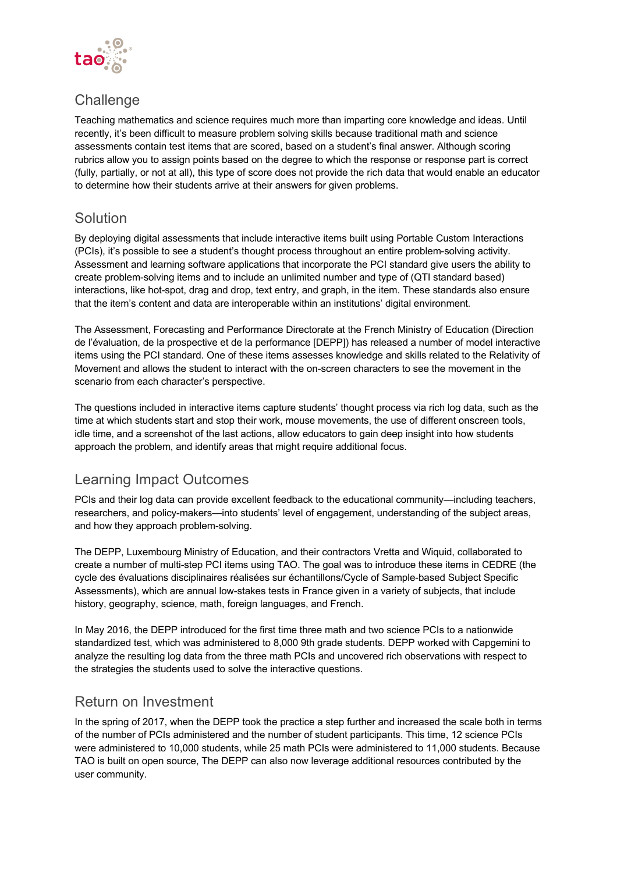

# **Challenge**

Teaching mathematics and science requires much more than imparting core knowledge and ideas. Until recently, it's been difficult to measure problem solving skills because traditional math and science assessments contain test items that are scored, based on a student's final answer. Although scoring rubrics allow you to assign points based on the degree to which the response or response part is correct (fully, partially, or not at all), this type of score does not provide the rich data that would enable an educator to determine how their students arrive at their answers for given problems.

## Solution

By deploying digital assessments that include interactive items built using Portable Custom Interactions (PCIs), it's possible to see a student's thought process throughout an entire problem-solving activity. Assessment and learning software applications that incorporate the PCI standard give users the ability to create problem-solving items and to include an unlimited number and type of (QTI standard based) interactions, like hot-spot, drag and drop, text entry, and graph, in the item. These standards also ensure that the item's content and data are interoperable within an institutions' digital environment.

The Assessment, Forecasting and Performance Directorate at the French Ministry of Education (Direction de l'évaluation, de la prospective et de la performance [DEPP]) has released a number of model interactive items using the PCI standard. One of these items assesses knowledge and skills related to the Relativity of Movement and allows the student to interact with the on-screen characters to see the movement in the scenario from each character's perspective.

The questions included in interactive items capture students' thought process via rich log data, such as the time at which students start and stop their work, mouse movements, the use of different onscreen tools, idle time, and a screenshot of the last actions, allow educators to gain deep insight into how students approach the problem, and identify areas that might require additional focus.

## Learning Impact Outcomes

PCIs and their log data can provide excellent feedback to the educational community—including teachers, researchers, and policy-makers—into students' level of engagement, understanding of the subject areas, and how they approach problem-solving.

The DEPP, Luxembourg Ministry of Education, and their contractors Vretta and Wiquid, collaborated to create a number of multi-step PCI items using TAO. The goal was to introduce these items in CEDRE (the cycle des évaluations disciplinaires réalisées sur échantillons/Cycle of Sample-based Subject Specific Assessments), which are annual low-stakes tests in France given in a variety of subjects, that include history, geography, science, math, foreign languages, and French.

In May 2016, the DEPP introduced for the first time three math and two science PCIs to a nationwide standardized test, which was administered to 8,000 9th grade students. DEPP worked with Capgemini to analyze the resulting log data from the three math PCIs and uncovered rich observations with respect to the strategies the students used to solve the interactive questions.

### Return on Investment

In the spring of 2017, when the DEPP took the practice a step further and increased the scale both in terms of the number of PCIs administered and the number of student participants. This time, 12 science PCIs were administered to 10,000 students, while 25 math PCIs were administered to 11,000 students. Because TAO is built on open source, The DEPP can also now leverage additional resources contributed by the user community.